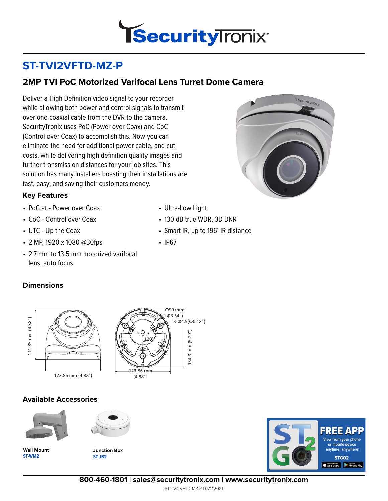

# **ST-TVI2VFTD-MZ-P**

## **2MP TVI PoC Motorized Varifocal Lens Turret Dome Camera**

Deliver a High Definition video signal to your recorder while allowing both power and control signals to transmit over one coaxial cable from the DVR to the camera. SecurityTronix uses PoC (Power over Coax) and CoC (Control over Coax) to accomplish this. Now you can eliminate the need for additional power cable, and cut costs, while delivering high definition quality images and further transmission distances for your job sites. This solution has many installers boasting their installations are fast, easy, and saving their customers money.



- PoC.at Power over Coax
- CoC Control over Coax
- UTC Up the Coax
- 2 MP, 1920 x 1080 @30fps
- 2.7 mm to 13.5 mm motorized varifocal lens, auto focus

### **Dimensions**

111.35 mm (4.38")

111.35 mm (4.38")



#### **Available Accessories**



**ST-WM2 Wall Mount**



**ST-JB2 Junction Box**



**800-460-1801 | sales@securitytronix.com | www.securitytronix.com**



• Smart IR, up to 196**'** IR distance

• Ultra-Low Light

• 130 dB true WDR, 3D DNR

• IP67